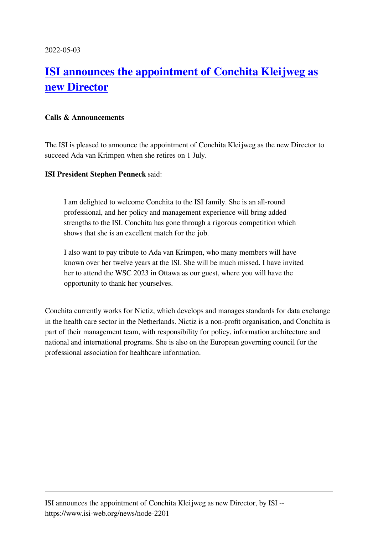## **[ISI announces the appointment of Conchita Kleijweg as](https://www.isi-web.org/news/node-2201) [new Director](https://www.isi-web.org/news/node-2201)**

## **Calls & Announcements**

The ISI is pleased to announce the appointment of Conchita Kleijweg as the new Director to succeed Ada van Krimpen when she retires on 1 July.

## **ISI President Stephen Penneck** said:

I am delighted to welcome Conchita to the ISI family. She is an all-round professional, and her policy and management experience will bring added strengths to the ISI. Conchita has gone through a rigorous competition which shows that she is an excellent match for the job.

I also want to pay tribute to Ada van Krimpen, who many members will have known over her twelve years at the ISI. She will be much missed. I have invited her to attend the WSC 2023 in Ottawa as our guest, where you will have the opportunity to thank her yourselves.

Conchita currently works for Nictiz, which develops and manages standards for data exchange in the health care sector in the Netherlands. Nictiz is a non-profit organisation, and Conchita is part of their management team, with responsibility for policy, information architecture and national and international programs. She is also on the European governing council for the professional association for healthcare information.